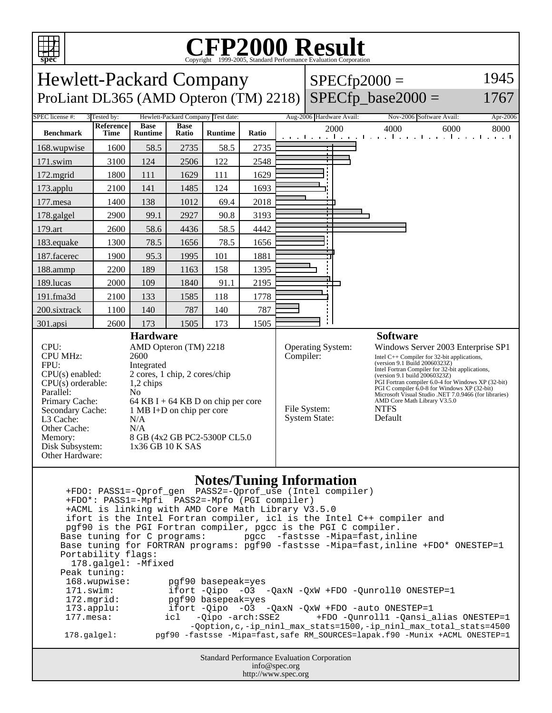

## C<sub>opyright</sub> ©1999-2005, Standard Performance Evaluation Corporation

| spec<br>Copyright ©1999-2005, Standard Performance Evaluation Corporation                                                                                                                                                                                                                                                                                                                                                                                                                                                                                                                                                                                                                                                                                                                                                                                                                                                                                                                     |                   |                               |                      |                                    |       |                                                                                                                                                                                                                                                                                                                                                                                                                                                                                                    |                          |  |                                                                            |          |
|-----------------------------------------------------------------------------------------------------------------------------------------------------------------------------------------------------------------------------------------------------------------------------------------------------------------------------------------------------------------------------------------------------------------------------------------------------------------------------------------------------------------------------------------------------------------------------------------------------------------------------------------------------------------------------------------------------------------------------------------------------------------------------------------------------------------------------------------------------------------------------------------------------------------------------------------------------------------------------------------------|-------------------|-------------------------------|----------------------|------------------------------------|-------|----------------------------------------------------------------------------------------------------------------------------------------------------------------------------------------------------------------------------------------------------------------------------------------------------------------------------------------------------------------------------------------------------------------------------------------------------------------------------------------------------|--------------------------|--|----------------------------------------------------------------------------|----------|
| 1945<br><b>Hewlett-Packard Company</b><br>$SPECfp2000 =$                                                                                                                                                                                                                                                                                                                                                                                                                                                                                                                                                                                                                                                                                                                                                                                                                                                                                                                                      |                   |                               |                      |                                    |       |                                                                                                                                                                                                                                                                                                                                                                                                                                                                                                    |                          |  |                                                                            |          |
| $SPECfp\_base2000 =$<br>ProLiant DL365 (AMD Opteron (TM) 2218)<br>1767                                                                                                                                                                                                                                                                                                                                                                                                                                                                                                                                                                                                                                                                                                                                                                                                                                                                                                                        |                   |                               |                      |                                    |       |                                                                                                                                                                                                                                                                                                                                                                                                                                                                                                    |                          |  |                                                                            |          |
| SPEC license #:                                                                                                                                                                                                                                                                                                                                                                                                                                                                                                                                                                                                                                                                                                                                                                                                                                                                                                                                                                               | 3 Tested by:      |                               |                      | Hewlett-Packard Company Test date: |       |                                                                                                                                                                                                                                                                                                                                                                                                                                                                                                    | Aug-2006 Hardware Avail: |  | Nov-2006 Software Avail:                                                   | Apr-2006 |
| <b>Benchmark</b>                                                                                                                                                                                                                                                                                                                                                                                                                                                                                                                                                                                                                                                                                                                                                                                                                                                                                                                                                                              | Reference<br>Time | <b>Base</b><br><b>Runtime</b> | <b>Base</b><br>Ratio | <b>Runtime</b>                     | Ratio |                                                                                                                                                                                                                                                                                                                                                                                                                                                                                                    | 2000                     |  | 4000<br>6000<br>and the medical contract of a medical contract contract of | 8000     |
| 168.wupwise                                                                                                                                                                                                                                                                                                                                                                                                                                                                                                                                                                                                                                                                                                                                                                                                                                                                                                                                                                                   | 1600              | 58.5                          | 2735                 | 58.5                               | 2735  |                                                                                                                                                                                                                                                                                                                                                                                                                                                                                                    |                          |  |                                                                            |          |
| 171.swim                                                                                                                                                                                                                                                                                                                                                                                                                                                                                                                                                                                                                                                                                                                                                                                                                                                                                                                                                                                      | 3100              | 124                           | 2506                 | 122                                | 2548  |                                                                                                                                                                                                                                                                                                                                                                                                                                                                                                    |                          |  |                                                                            |          |
| 172.mgrid                                                                                                                                                                                                                                                                                                                                                                                                                                                                                                                                                                                                                                                                                                                                                                                                                                                                                                                                                                                     | 1800              | 111                           | 1629                 | 111                                | 1629  |                                                                                                                                                                                                                                                                                                                                                                                                                                                                                                    |                          |  |                                                                            |          |
| 173.applu                                                                                                                                                                                                                                                                                                                                                                                                                                                                                                                                                                                                                                                                                                                                                                                                                                                                                                                                                                                     | 2100              | 141                           | 1485                 | 124                                | 1693  |                                                                                                                                                                                                                                                                                                                                                                                                                                                                                                    |                          |  |                                                                            |          |
| 177.mesa                                                                                                                                                                                                                                                                                                                                                                                                                                                                                                                                                                                                                                                                                                                                                                                                                                                                                                                                                                                      | 1400              | 138                           | 1012                 | 69.4                               | 2018  |                                                                                                                                                                                                                                                                                                                                                                                                                                                                                                    |                          |  |                                                                            |          |
| 178.galgel                                                                                                                                                                                                                                                                                                                                                                                                                                                                                                                                                                                                                                                                                                                                                                                                                                                                                                                                                                                    | 2900              | 99.1                          | 2927                 | 90.8                               | 3193  |                                                                                                                                                                                                                                                                                                                                                                                                                                                                                                    |                          |  |                                                                            |          |
| 179.art                                                                                                                                                                                                                                                                                                                                                                                                                                                                                                                                                                                                                                                                                                                                                                                                                                                                                                                                                                                       | 2600              | 58.6                          | 4436                 | 58.5                               | 4442  |                                                                                                                                                                                                                                                                                                                                                                                                                                                                                                    |                          |  |                                                                            |          |
| 183.equake                                                                                                                                                                                                                                                                                                                                                                                                                                                                                                                                                                                                                                                                                                                                                                                                                                                                                                                                                                                    | 1300              | 78.5                          | 1656                 | 78.5                               | 1656  |                                                                                                                                                                                                                                                                                                                                                                                                                                                                                                    |                          |  |                                                                            |          |
| 187.facerec                                                                                                                                                                                                                                                                                                                                                                                                                                                                                                                                                                                                                                                                                                                                                                                                                                                                                                                                                                                   | 1900              | 95.3                          | 1995                 | 101                                | 1881  |                                                                                                                                                                                                                                                                                                                                                                                                                                                                                                    |                          |  |                                                                            |          |
| 188.ammp                                                                                                                                                                                                                                                                                                                                                                                                                                                                                                                                                                                                                                                                                                                                                                                                                                                                                                                                                                                      | 2200              | 189                           | 1163                 | 158                                | 1395  |                                                                                                                                                                                                                                                                                                                                                                                                                                                                                                    |                          |  |                                                                            |          |
| 189.lucas                                                                                                                                                                                                                                                                                                                                                                                                                                                                                                                                                                                                                                                                                                                                                                                                                                                                                                                                                                                     | 2000              | 109                           | 1840                 | 91.1                               | 2195  |                                                                                                                                                                                                                                                                                                                                                                                                                                                                                                    |                          |  |                                                                            |          |
| 191.fma3d                                                                                                                                                                                                                                                                                                                                                                                                                                                                                                                                                                                                                                                                                                                                                                                                                                                                                                                                                                                     | 2100              | 133                           | 1585                 | 118                                | 1778  |                                                                                                                                                                                                                                                                                                                                                                                                                                                                                                    |                          |  |                                                                            |          |
| 200.sixtrack                                                                                                                                                                                                                                                                                                                                                                                                                                                                                                                                                                                                                                                                                                                                                                                                                                                                                                                                                                                  | 1100              | 140                           | 787                  | 140                                | 787   |                                                                                                                                                                                                                                                                                                                                                                                                                                                                                                    |                          |  |                                                                            |          |
| 301.apsi                                                                                                                                                                                                                                                                                                                                                                                                                                                                                                                                                                                                                                                                                                                                                                                                                                                                                                                                                                                      | 2600              | 173<br><b>Hardware</b>        | 1505                 | 173                                | 1505  |                                                                                                                                                                                                                                                                                                                                                                                                                                                                                                    |                          |  | <b>Software</b>                                                            |          |
| CPU:<br>AMD Opteron (TM) 2218<br><b>CPU MHz:</b><br>2600<br>FPU:<br>Integrated<br>$CPU(s)$ enabled:<br>2 cores, 1 chip, 2 cores/chip<br>$CPU(s)$ orderable:<br>$1,2$ chips<br>Parallel:<br>No<br>Primary Cache:<br>64 KB I + 64 KB D on chip per core<br>Secondary Cache:<br>1 MB I+D on chip per core<br>L3 Cache:<br>N/A<br>Other Cache:<br>N/A<br>8 GB (4x2 GB PC2-5300P CL5.0<br>Memory:<br>Disk Subsystem:<br>1x36 GB 10 K SAS<br>Other Hardware:                                                                                                                                                                                                                                                                                                                                                                                                                                                                                                                                        |                   |                               |                      |                                    |       | Operating System:<br>Windows Server 2003 Enterprise SP1<br>Compiler:<br>Intel C++ Compiler for 32-bit applications,<br>(version 9.1 Build 20060323Z)<br>Intel Fortran Compiler for 32-bit applications,<br>(version 9.1 build 20060323Z)<br>PGI Fortran compiler 6.0-4 for Windows XP (32-bit)<br>PGI C compiler 6.0-8 for Windows XP (32-bit)<br>Microsoft Visual Studio .NET 7.0.9466 (for libraries)<br>AMD Core Math Library V3.5.0<br>File System:<br><b>NTFS</b><br>System State:<br>Default |                          |  |                                                                            |          |
| <b>Notes/Tuning Information</b><br>+FDO*: PASS1=-Mpfi PASS2=-Mpfo (PGI compiler)<br>+ACML is linking with AMD Core Math Library V3.5.0<br>ifort is the Intel Fortran compiler, icl is the Intel C++ compiler and<br>pgf90 is the PGI Fortran compiler, pgcc is the PGI C compiler.<br>pgcc -fastsse -Mipa=fast, inline<br>Base tuning for C programs:<br>Base tuning for FORTRAN programs: pgf90 -fastsse -Mipa=fast, inline +FDO* ONESTEP=1<br>Portability flags:<br>178.galgel: - Mfixed<br>Peak tuning:<br>168.wupwise:<br>pgf90 basepeak=yes<br>171.swim:<br>ifort $-Qipo -O3 -QaxN -QxW + FDO -Qunroll0 ONE STEP=1$<br>pgf90 basepeak=yes<br>172.mgrid:<br>ifort -Qipo -03 -QaxN -QxW +FDO -auto ONESTEP=1<br>$173.\text{applu}:$<br>$177.$ mesa:<br>+FDO -Qunroll1 -Qansi_alias ONESTEP=1<br>-Oipo -arch:SSE2<br>icl<br>-Qoption, c,-ip_ninl_max_stats=1500,-ip_ninl_max_total_stats=4500<br>pgf90 -fastsse -Mipa=fast, safe RM_SOURCES=lapak.f90 -Munix +ACML ONESTEP=1<br>178.galgel: |                   |                               |                      |                                    |       |                                                                                                                                                                                                                                                                                                                                                                                                                                                                                                    |                          |  |                                                                            |          |

Standard Performance Evaluation Corporation info@spec.org http://www.spec.org